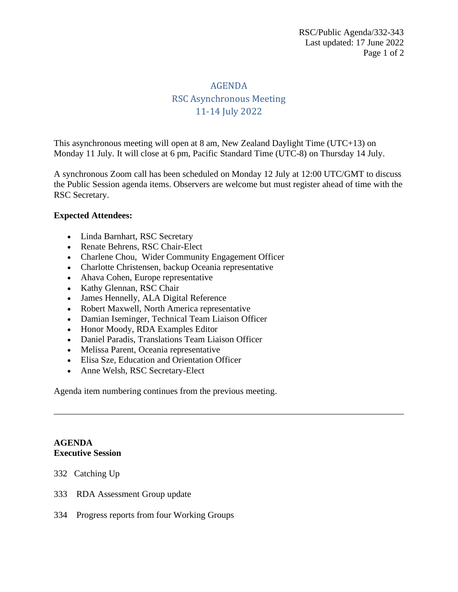# AGENDA RSC Asynchronous Meeting 11-14 July 2022

This asynchronous meeting will open at 8 am, New Zealand Daylight Time (UTC+13) on Monday 11 July. It will close at 6 pm, Pacific Standard Time (UTC-8) on Thursday 14 July.

A synchronous Zoom call has been scheduled on Monday 12 July at 12:00 UTC/GMT to discuss the Public Session agenda items. Observers are welcome but must register ahead of time with the RSC Secretary.

## **Expected Attendees:**

- Linda Barnhart, RSC Secretary
- Renate Behrens, RSC Chair-Elect
- Charlene Chou, Wider Community Engagement Officer
- Charlotte Christensen, backup Oceania representative
- Ahava Cohen, Europe representative
- Kathy Glennan, RSC Chair
- James Hennelly, ALA Digital Reference
- Robert Maxwell, North America representative
- Damian Iseminger, Technical Team Liaison Officer
- Honor Moody, RDA Examples Editor
- Daniel Paradis, Translations Team Liaison Officer
- Melissa Parent, Oceania representative
- Elisa Sze, Education and Orientation Officer
- Anne Welsh, RSC Secretary-Elect

Agenda item numbering continues from the previous meeting.

## **AGENDA Executive Session**

- 332 Catching Up
- 333 RDA Assessment Group update
- 334 Progress reports from four Working Groups